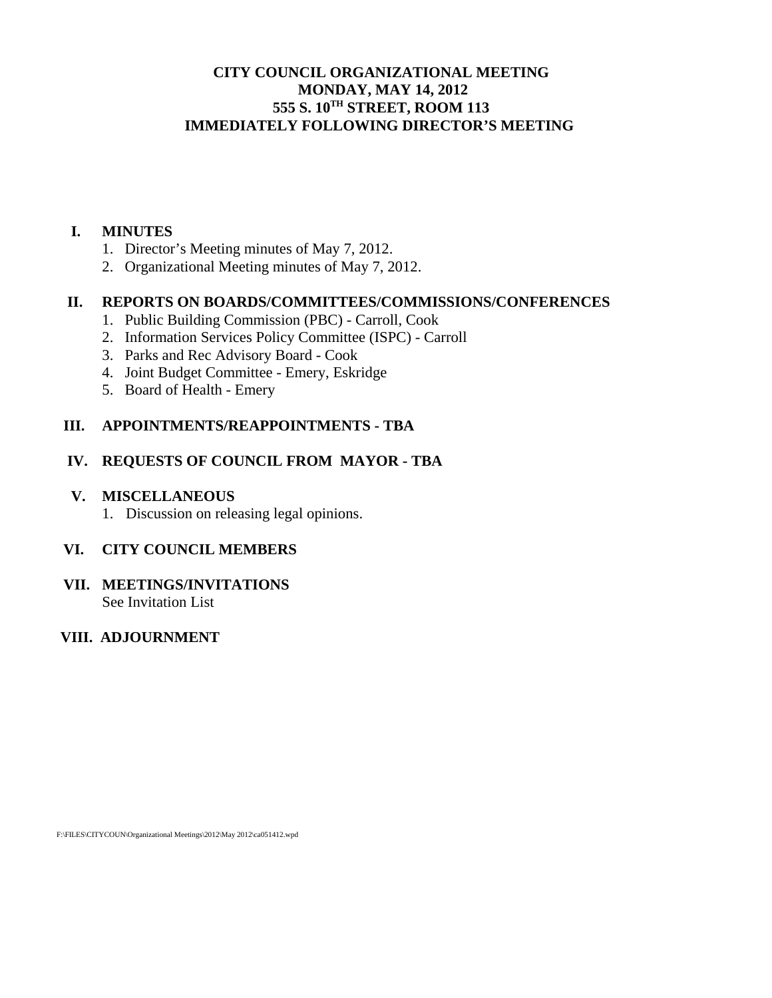# **CITY COUNCIL ORGANIZATIONAL MEETING MONDAY, MAY 14, 2012 555 S. 10TH STREET, ROOM 113 IMMEDIATELY FOLLOWING DIRECTOR'S MEETING**

#### **I. MINUTES**

- 1. Director's Meeting minutes of May 7, 2012.
- 2. Organizational Meeting minutes of May 7, 2012.

# **II. REPORTS ON BOARDS/COMMITTEES/COMMISSIONS/CONFERENCES**

- 1. Public Building Commission (PBC) Carroll, Cook
- 2. Information Services Policy Committee (ISPC) Carroll
- 3. Parks and Rec Advisory Board Cook
- 4. Joint Budget Committee Emery, Eskridge
- 5. Board of Health Emery

# **III. APPOINTMENTS/REAPPOINTMENTS - TBA**

# **IV. REQUESTS OF COUNCIL FROM MAYOR - TBA**

### **V. MISCELLANEOUS**

1. Discussion on releasing legal opinions.

# **VI. CITY COUNCIL MEMBERS**

**VII. MEETINGS/INVITATIONS**  See Invitation List

# **VIII. ADJOURNMENT**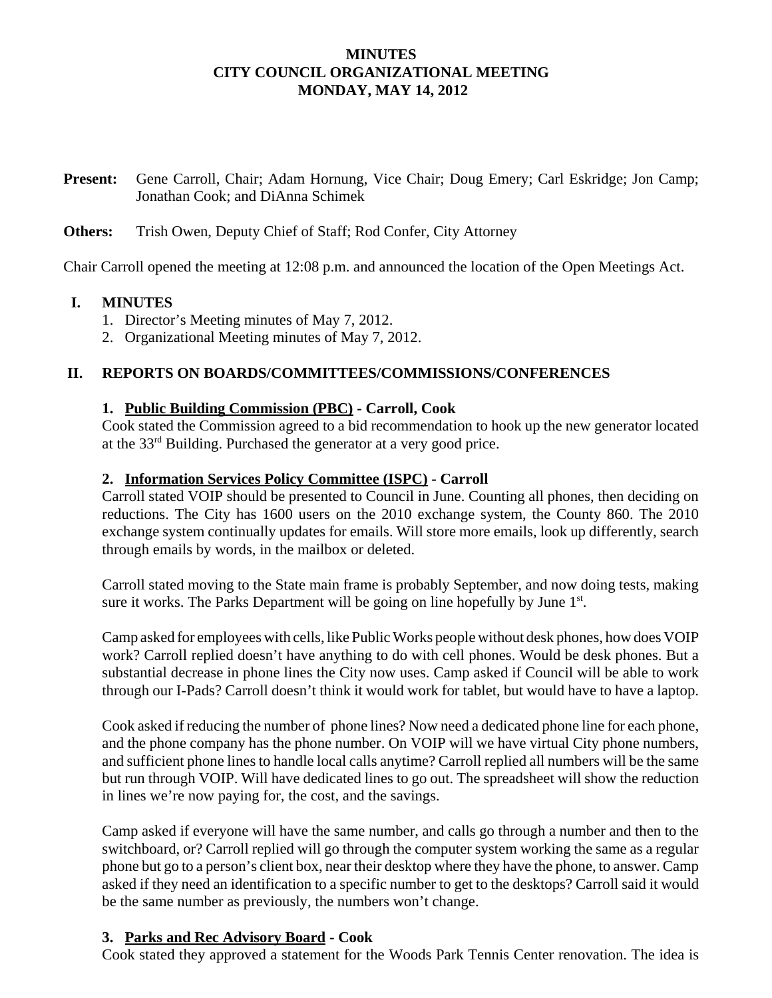### **MINUTES CITY COUNCIL ORGANIZATIONAL MEETING MONDAY, MAY 14, 2012**

**Present:** Gene Carroll, Chair; Adam Hornung, Vice Chair; Doug Emery; Carl Eskridge; Jon Camp; Jonathan Cook; and DiAnna Schimek

#### **Others:** Trish Owen, Deputy Chief of Staff; Rod Confer, City Attorney

Chair Carroll opened the meeting at 12:08 p.m. and announced the location of the Open Meetings Act.

### **I. MINUTES**

- 1. Director's Meeting minutes of May 7, 2012.
- 2. Organizational Meeting minutes of May 7, 2012.

### **II. REPORTS ON BOARDS/COMMITTEES/COMMISSIONS/CONFERENCES**

### **1. Public Building Commission (PBC) - Carroll, Cook**

Cook stated the Commission agreed to a bid recommendation to hook up the new generator located at the 33rd Building. Purchased the generator at a very good price.

### **2. Information Services Policy Committee (ISPC) - Carroll**

Carroll stated VOIP should be presented to Council in June. Counting all phones, then deciding on reductions. The City has 1600 users on the 2010 exchange system, the County 860. The 2010 exchange system continually updates for emails. Will store more emails, look up differently, search through emails by words, in the mailbox or deleted.

Carroll stated moving to the State main frame is probably September, and now doing tests, making sure it works. The Parks Department will be going on line hopefully by June 1<sup>st</sup>.

Camp asked for employees with cells, like Public Works people without desk phones, how does VOIP work? Carroll replied doesn't have anything to do with cell phones. Would be desk phones. But a substantial decrease in phone lines the City now uses. Camp asked if Council will be able to work through our I-Pads? Carroll doesn't think it would work for tablet, but would have to have a laptop.

Cook asked if reducing the number of phone lines? Now need a dedicated phone line for each phone, and the phone company has the phone number. On VOIP will we have virtual City phone numbers, and sufficient phone lines to handle local calls anytime? Carroll replied all numbers will be the same but run through VOIP. Will have dedicated lines to go out. The spreadsheet will show the reduction in lines we're now paying for, the cost, and the savings.

Camp asked if everyone will have the same number, and calls go through a number and then to the switchboard, or? Carroll replied will go through the computer system working the same as a regular phone but go to a person's client box, near their desktop where they have the phone, to answer. Camp asked if they need an identification to a specific number to get to the desktops? Carroll said it would be the same number as previously, the numbers won't change.

#### **3. Parks and Rec Advisory Board - Cook**

Cook stated they approved a statement for the Woods Park Tennis Center renovation. The idea is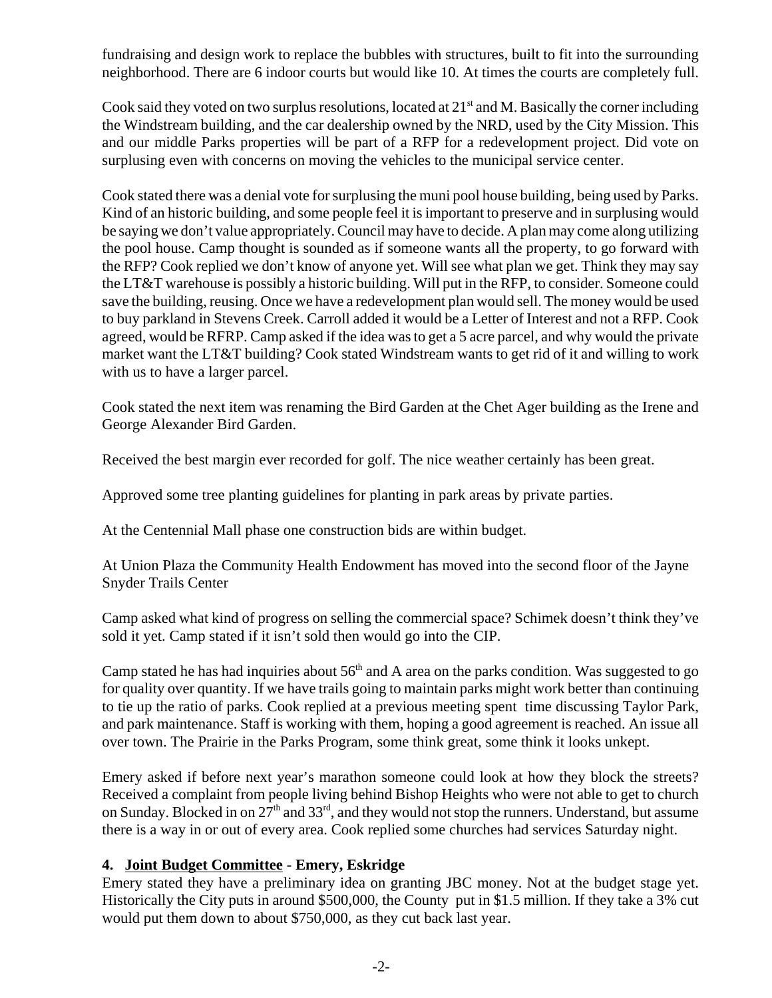fundraising and design work to replace the bubbles with structures, built to fit into the surrounding neighborhood. There are 6 indoor courts but would like 10. At times the courts are completely full.

Cook said they voted on two surplus resolutions, located at  $21<sup>st</sup>$  and M. Basically the corner including the Windstream building, and the car dealership owned by the NRD, used by the City Mission. This and our middle Parks properties will be part of a RFP for a redevelopment project. Did vote on surplusing even with concerns on moving the vehicles to the municipal service center.

Cook stated there was a denial vote for surplusing the muni pool house building, being used by Parks. Kind of an historic building, and some people feel it is important to preserve and in surplusing would be saying we don't value appropriately. Council may have to decide. A plan may come along utilizing the pool house. Camp thought is sounded as if someone wants all the property, to go forward with the RFP? Cook replied we don't know of anyone yet. Will see what plan we get. Think they may say the LT&T warehouse is possibly a historic building. Will put in the RFP, to consider. Someone could save the building, reusing. Once we have a redevelopment plan would sell. The money would be used to buy parkland in Stevens Creek. Carroll added it would be a Letter of Interest and not a RFP. Cook agreed, would be RFRP. Camp asked if the idea was to get a 5 acre parcel, and why would the private market want the LT&T building? Cook stated Windstream wants to get rid of it and willing to work with us to have a larger parcel.

Cook stated the next item was renaming the Bird Garden at the Chet Ager building as the Irene and George Alexander Bird Garden.

Received the best margin ever recorded for golf. The nice weather certainly has been great.

Approved some tree planting guidelines for planting in park areas by private parties.

At the Centennial Mall phase one construction bids are within budget.

At Union Plaza the Community Health Endowment has moved into the second floor of the Jayne Snyder Trails Center

Camp asked what kind of progress on selling the commercial space? Schimek doesn't think they've sold it yet. Camp stated if it isn't sold then would go into the CIP.

Camp stated he has had inquiries about  $56<sup>th</sup>$  and A area on the parks condition. Was suggested to go for quality over quantity. If we have trails going to maintain parks might work better than continuing to tie up the ratio of parks. Cook replied at a previous meeting spent time discussing Taylor Park, and park maintenance. Staff is working with them, hoping a good agreement is reached. An issue all over town. The Prairie in the Parks Program, some think great, some think it looks unkept.

Emery asked if before next year's marathon someone could look at how they block the streets? Received a complaint from people living behind Bishop Heights who were not able to get to church on Sunday. Blocked in on 27<sup>th</sup> and 33<sup>rd</sup>, and they would not stop the runners. Understand, but assume there is a way in or out of every area. Cook replied some churches had services Saturday night.

#### **4. Joint Budget Committee - Emery, Eskridge**

Emery stated they have a preliminary idea on granting JBC money. Not at the budget stage yet. Historically the City puts in around \$500,000, the County put in \$1.5 million. If they take a 3% cut would put them down to about \$750,000, as they cut back last year.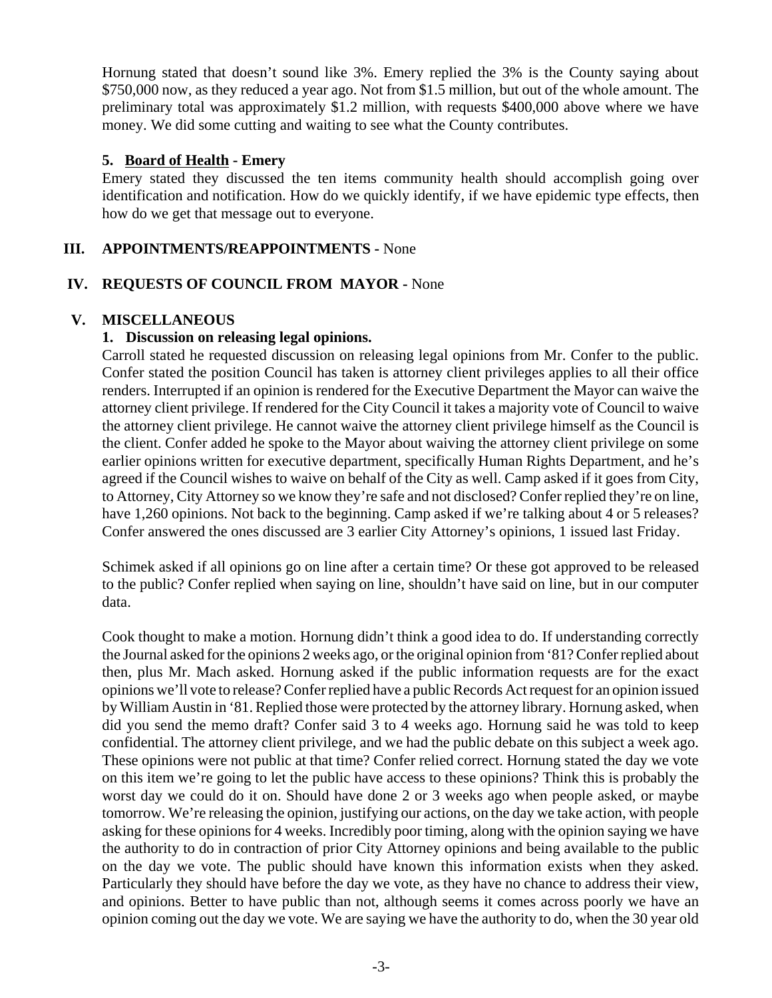Hornung stated that doesn't sound like 3%. Emery replied the 3% is the County saying about \$750,000 now, as they reduced a year ago. Not from \$1.5 million, but out of the whole amount. The preliminary total was approximately \$1.2 million, with requests \$400,000 above where we have money. We did some cutting and waiting to see what the County contributes.

#### **5. Board of Health - Emery**

Emery stated they discussed the ten items community health should accomplish going over identification and notification. How do we quickly identify, if we have epidemic type effects, then how do we get that message out to everyone.

### **III. APPOINTMENTS/REAPPOINTMENTS -** None

### **IV. REQUESTS OF COUNCIL FROM MAYOR -** None

### **V. MISCELLANEOUS**

### **1. Discussion on releasing legal opinions.**

Carroll stated he requested discussion on releasing legal opinions from Mr. Confer to the public. Confer stated the position Council has taken is attorney client privileges applies to all their office renders. Interrupted if an opinion is rendered for the Executive Department the Mayor can waive the attorney client privilege. If rendered for the City Council it takes a majority vote of Council to waive the attorney client privilege. He cannot waive the attorney client privilege himself as the Council is the client. Confer added he spoke to the Mayor about waiving the attorney client privilege on some earlier opinions written for executive department, specifically Human Rights Department, and he's agreed if the Council wishes to waive on behalf of the City as well. Camp asked if it goes from City, to Attorney, City Attorney so we know they're safe and not disclosed? Confer replied they're on line, have 1,260 opinions. Not back to the beginning. Camp asked if we're talking about 4 or 5 releases? Confer answered the ones discussed are 3 earlier City Attorney's opinions, 1 issued last Friday.

Schimek asked if all opinions go on line after a certain time? Or these got approved to be released to the public? Confer replied when saying on line, shouldn't have said on line, but in our computer data.

Cook thought to make a motion. Hornung didn't think a good idea to do. If understanding correctly the Journal asked for the opinions 2 weeks ago, or the original opinion from '81? Confer replied about then, plus Mr. Mach asked. Hornung asked if the public information requests are for the exact opinions we'll vote to release? Confer replied have a public Records Act request for an opinion issued by William Austin in '81. Replied those were protected by the attorney library. Hornung asked, when did you send the memo draft? Confer said 3 to 4 weeks ago. Hornung said he was told to keep confidential. The attorney client privilege, and we had the public debate on this subject a week ago. These opinions were not public at that time? Confer relied correct. Hornung stated the day we vote on this item we're going to let the public have access to these opinions? Think this is probably the worst day we could do it on. Should have done 2 or 3 weeks ago when people asked, or maybe tomorrow. We're releasing the opinion, justifying our actions, on the day we take action, with people asking for these opinions for 4 weeks. Incredibly poor timing, along with the opinion saying we have the authority to do in contraction of prior City Attorney opinions and being available to the public on the day we vote. The public should have known this information exists when they asked. Particularly they should have before the day we vote, as they have no chance to address their view, and opinions. Better to have public than not, although seems it comes across poorly we have an opinion coming out the day we vote. We are saying we have the authority to do, when the 30 year old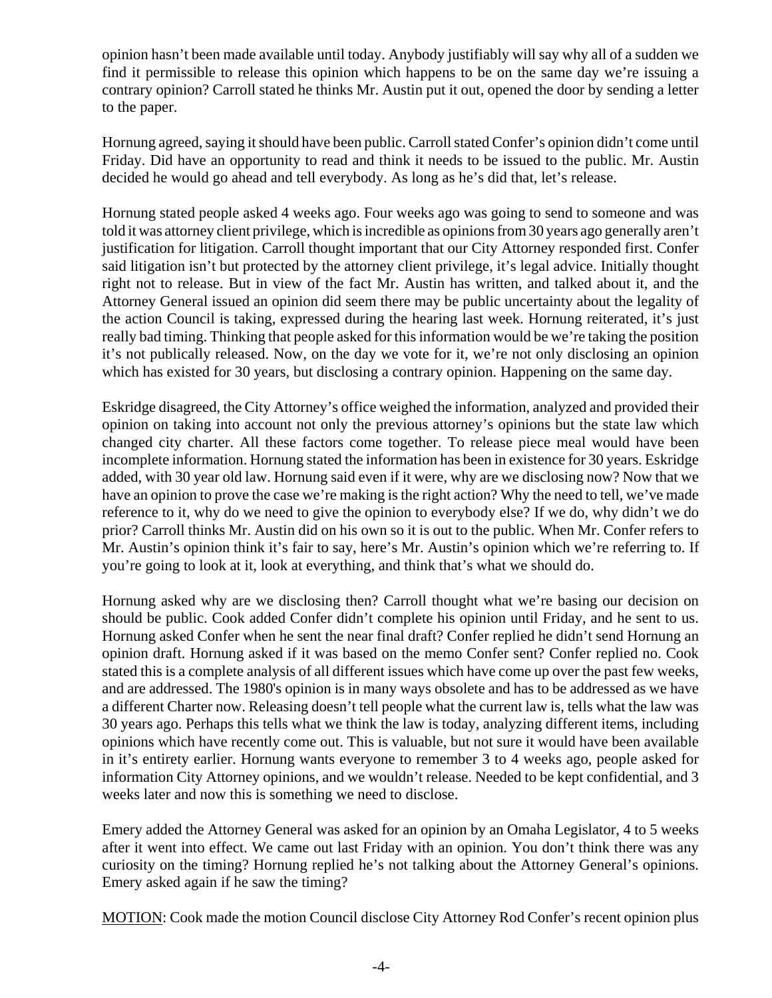opinion hasn't been made available until today. Anybody justifiably will say why all of a sudden we find it permissible to release this opinion which happens to be on the same day we're issuing a contrary opinion? Carroll stated he thinks Mr. Austin put it out, opened the door by sending a letter to the paper.

Hornung agreed, saying it should have been public. Carroll stated Confer's opinion didn't come until Friday. Did have an opportunity to read and think it needs to be issued to the public. Mr. Austin decided he would go ahead and tell everybody. As long as he's did that, let's release.

Hornung stated people asked 4 weeks ago. Four weeks ago was going to send to someone and was told it was attorney client privilege, which is incredible as opinions from 30 years ago generally aren't justification for litigation. Carroll thought important that our City Attorney responded first. Confer said litigation isn't but protected by the attorney client privilege, it's legal advice. Initially thought right not to release. But in view of the fact Mr. Austin has written, and talked about it, and the Attorney General issued an opinion did seem there may be public uncertainty about the legality of the action Council is taking, expressed during the hearing last week. Hornung reiterated, it's just really bad timing. Thinking that people asked for this information would be we're taking the position it's not publically released. Now, on the day we vote for it, we're not only disclosing an opinion which has existed for 30 years, but disclosing a contrary opinion. Happening on the same day.

Eskridge disagreed, the City Attorney's office weighed the information, analyzed and provided their opinion on taking into account not only the previous attorney's opinions but the state law which changed city charter. All these factors come together. To release piece meal would have been incomplete information. Hornung stated the information has been in existence for 30 years. Eskridge added, with 30 year old law. Hornung said even if it were, why are we disclosing now? Now that we have an opinion to prove the case we're making is the right action? Why the need to tell, we've made reference to it, why do we need to give the opinion to everybody else? If we do, why didn't we do prior? Carroll thinks Mr. Austin did on his own so it is out to the public. When Mr. Confer refers to Mr. Austin's opinion think it's fair to say, here's Mr. Austin's opinion which we're referring to. If you're going to look at it, look at everything, and think that's what we should do.

Hornung asked why are we disclosing then? Carroll thought what we're basing our decision on should be public. Cook added Confer didn't complete his opinion until Friday, and he sent to us. Hornung asked Confer when he sent the near final draft? Confer replied he didn't send Hornung an opinion draft. Hornung asked if it was based on the memo Confer sent? Confer replied no. Cook stated this is a complete analysis of all different issues which have come up over the past few weeks, and are addressed. The 1980's opinion is in many ways obsolete and has to be addressed as we have a different Charter now. Releasing doesn't tell people what the current law is, tells what the law was 30 years ago. Perhaps this tells what we think the law is today, analyzing different items, including opinions which have recently come out. This is valuable, but not sure it would have been available in it's entirety earlier. Hornung wants everyone to remember 3 to 4 weeks ago, people asked for information City Attorney opinions, and we wouldn't release. Needed to be kept confidential, and 3 weeks later and now this is something we need to disclose.

Emery added the Attorney General was asked for an opinion by an Omaha Legislator, 4 to 5 weeks after it went into effect. We came out last Friday with an opinion. You don't think there was any curiosity on the timing? Hornung replied he's not talking about the Attorney General's opinions. Emery asked again if he saw the timing?

MOTION: Cook made the motion Council disclose City Attorney Rod Confer's recent opinion plus